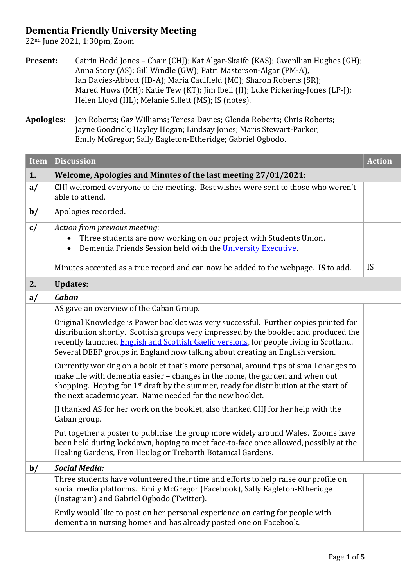## **Dementia Friendly University Meeting**

22nd June 2021, 1:30pm, Zoom

| <b>Present:</b> | Catrin Hedd Jones – Chair (CHJ); Kat Algar-Skaife (KAS); Gwenllian Hughes (GH); |
|-----------------|---------------------------------------------------------------------------------|
|                 | Anna Story (AS); Gill Windle (GW); Patri Masterson-Algar (PM-A),                |
|                 | Ian Davies-Abbott (ID-A); Maria Caulfield (MC); Sharon Roberts (SR);            |
|                 | Mared Huws (MH); Katie Tew (KT); Jim Ibell (JI); Luke Pickering-Jones (LP-J);   |
|                 | Helen Lloyd (HL); Melanie Sillett (MS); IS (notes).                             |

**Apologies:** Jen Roberts; Gaz Williams; Teresa Davies; Glenda Roberts; Chris Roberts; Jayne Goodrick; Hayley Hogan; Lindsay Jones; Maris Stewart-Parker; Emily McGregor; Sally Eagleton-Etheridge; Gabriel Ogbodo.

| <b>Item</b>   | <b>Discussion</b>                                                                                                                                                                                                                                                                                                                                      | <b>Action</b> |
|---------------|--------------------------------------------------------------------------------------------------------------------------------------------------------------------------------------------------------------------------------------------------------------------------------------------------------------------------------------------------------|---------------|
| 1.            | Welcome, Apologies and Minutes of the last meeting 27/01/2021:                                                                                                                                                                                                                                                                                         |               |
| a/            | CHJ welcomed everyone to the meeting. Best wishes were sent to those who weren't<br>able to attend.                                                                                                                                                                                                                                                    |               |
| $\mathbf{b}/$ | Apologies recorded.                                                                                                                                                                                                                                                                                                                                    |               |
| c/            | Action from previous meeting:<br>Three students are now working on our project with Students Union.<br>Dementia Friends Session held with the University Executive.<br>Minutes accepted as a true record and can now be added to the webpage. IS to add.                                                                                               | IS            |
| 2.            | <b>Updates:</b>                                                                                                                                                                                                                                                                                                                                        |               |
| a/            | Caban                                                                                                                                                                                                                                                                                                                                                  |               |
|               | AS gave an overview of the Caban Group.                                                                                                                                                                                                                                                                                                                |               |
|               | Original Knowledge is Power booklet was very successful. Further copies printed for<br>distribution shortly. Scottish groups very impressed by the booklet and produced the<br>recently launched English and Scottish Gaelic versions, for people living in Scotland.<br>Several DEEP groups in England now talking about creating an English version. |               |
|               | Currently working on a booklet that's more personal, around tips of small changes to<br>make life with dementia easier - changes in the home, the garden and when out<br>shopping. Hoping for 1 <sup>st</sup> draft by the summer, ready for distribution at the start of<br>the next academic year. Name needed for the new booklet.                  |               |
|               | JI thanked AS for her work on the booklet, also thanked CHJ for her help with the<br>Caban group.                                                                                                                                                                                                                                                      |               |
|               | Put together a poster to publicise the group more widely around Wales. Zooms have<br>been held during lockdown, hoping to meet face-to-face once allowed, possibly at the<br>Healing Gardens, Fron Heulog or Treborth Botanical Gardens.                                                                                                               |               |
| $\mathbf{b}/$ | <b>Social Media:</b>                                                                                                                                                                                                                                                                                                                                   |               |
|               | Three students have volunteered their time and efforts to help raise our profile on<br>social media platforms. Emily McGregor (Facebook), Sally Eagleton-Etheridge<br>(Instagram) and Gabriel Ogbodo (Twitter).                                                                                                                                        |               |
|               | Emily would like to post on her personal experience on caring for people with<br>dementia in nursing homes and has already posted one on Facebook.                                                                                                                                                                                                     |               |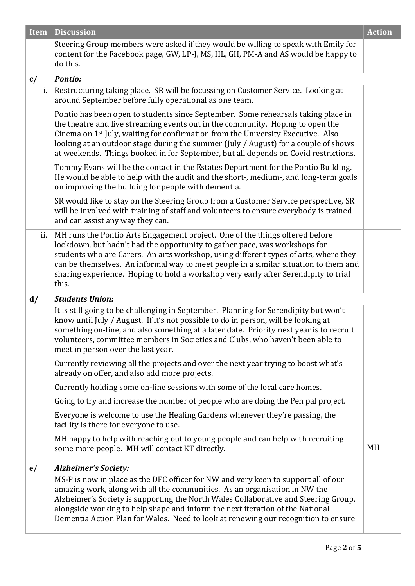| <b>Item</b> | <b>Discussion</b>                                                                                                                                                                                                                                                                                                                                                                                                                                 | <b>Action</b> |
|-------------|---------------------------------------------------------------------------------------------------------------------------------------------------------------------------------------------------------------------------------------------------------------------------------------------------------------------------------------------------------------------------------------------------------------------------------------------------|---------------|
|             | Steering Group members were asked if they would be willing to speak with Emily for<br>content for the Facebook page, GW, LP-J, MS, HL, GH, PM-A and AS would be happy to<br>do this.                                                                                                                                                                                                                                                              |               |
| c/          | <b>Pontio:</b>                                                                                                                                                                                                                                                                                                                                                                                                                                    |               |
| i.          | Restructuring taking place. SR will be focussing on Customer Service. Looking at<br>around September before fully operational as one team.                                                                                                                                                                                                                                                                                                        |               |
|             | Pontio has been open to students since September. Some rehearsals taking place in<br>the theatre and live streaming events out in the community. Hoping to open the<br>Cinema on 1 <sup>st</sup> July, waiting for confirmation from the University Executive. Also<br>looking at an outdoor stage during the summer (July / August) for a couple of shows<br>at weekends. Things booked in for September, but all depends on Covid restrictions. |               |
|             | Tommy Evans will be the contact in the Estates Department for the Pontio Building.<br>He would be able to help with the audit and the short-, medium-, and long-term goals<br>on improving the building for people with dementia.                                                                                                                                                                                                                 |               |
|             | SR would like to stay on the Steering Group from a Customer Service perspective, SR<br>will be involved with training of staff and volunteers to ensure everybody is trained<br>and can assist any way they can.                                                                                                                                                                                                                                  |               |
| ii.         | MH runs the Pontio Arts Engagement project. One of the things offered before<br>lockdown, but hadn't had the opportunity to gather pace, was workshops for<br>students who are Carers. An arts workshop, using different types of arts, where they<br>can be themselves. An informal way to meet people in a similar situation to them and<br>sharing experience. Hoping to hold a workshop very early after Serendipity to trial<br>this.        |               |
| d/          | <b>Students Union:</b>                                                                                                                                                                                                                                                                                                                                                                                                                            |               |
|             | It is still going to be challenging in September. Planning for Serendipity but won't<br>know until July / August. If it's not possible to do in person, will be looking at<br>something on-line, and also something at a later date. Priority next year is to recruit<br>volunteers, committee members in Societies and Clubs, who haven't been able to<br>meet in person over the last year.                                                     |               |
|             | Currently reviewing all the projects and over the next year trying to boost what's<br>already on offer, and also add more projects.                                                                                                                                                                                                                                                                                                               |               |
|             | Currently holding some on-line sessions with some of the local care homes.                                                                                                                                                                                                                                                                                                                                                                        |               |
|             | Going to try and increase the number of people who are doing the Pen pal project.                                                                                                                                                                                                                                                                                                                                                                 |               |
|             | Everyone is welcome to use the Healing Gardens whenever they're passing, the<br>facility is there for everyone to use.                                                                                                                                                                                                                                                                                                                            |               |
|             | MH happy to help with reaching out to young people and can help with recruiting<br>some more people. MH will contact KT directly.                                                                                                                                                                                                                                                                                                                 | MH            |
| e/          | <b>Alzheimer's Society:</b>                                                                                                                                                                                                                                                                                                                                                                                                                       |               |
|             | MS-P is now in place as the DFC officer for NW and very keen to support all of our<br>amazing work, along with all the communities. As an organisation in NW the<br>Alzheimer's Society is supporting the North Wales Collaborative and Steering Group,<br>alongside working to help shape and inform the next iteration of the National<br>Dementia Action Plan for Wales. Need to look at renewing our recognition to ensure                    |               |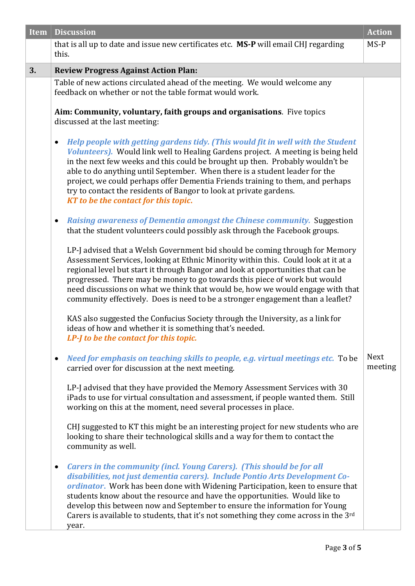| Item | <b>Discussion</b>                                                                                                                                                                                                                                                                                                                                                                                                                                                                                                                                                                          | <b>Action</b>          |
|------|--------------------------------------------------------------------------------------------------------------------------------------------------------------------------------------------------------------------------------------------------------------------------------------------------------------------------------------------------------------------------------------------------------------------------------------------------------------------------------------------------------------------------------------------------------------------------------------------|------------------------|
|      | that is all up to date and issue new certificates etc. MS-P will email CHJ regarding<br>this.                                                                                                                                                                                                                                                                                                                                                                                                                                                                                              | MS-P                   |
| 3.   | <b>Review Progress Against Action Plan:</b>                                                                                                                                                                                                                                                                                                                                                                                                                                                                                                                                                |                        |
|      | Table of new actions circulated ahead of the meeting. We would welcome any<br>feedback on whether or not the table format would work.                                                                                                                                                                                                                                                                                                                                                                                                                                                      |                        |
|      | Aim: Community, voluntary, faith groups and organisations. Five topics<br>discussed at the last meeting:                                                                                                                                                                                                                                                                                                                                                                                                                                                                                   |                        |
|      | Help people with getting gardens tidy. (This would fit in well with the Student<br>$\bullet$<br>Volunteers). Would link well to Healing Gardens project. A meeting is being held<br>in the next few weeks and this could be brought up then. Probably wouldn't be<br>able to do anything until September. When there is a student leader for the<br>project, we could perhaps offer Dementia Friends training to them, and perhaps<br>try to contact the residents of Bangor to look at private gardens.<br>KT to be the contact for this topic.                                           |                        |
|      | <b>Raising awareness of Dementia amongst the Chinese community. Suggestion</b><br>$\bullet$<br>that the student volunteers could possibly ask through the Facebook groups.                                                                                                                                                                                                                                                                                                                                                                                                                 |                        |
|      | LP-J advised that a Welsh Government bid should be coming through for Memory<br>Assessment Services, looking at Ethnic Minority within this. Could look at it at a<br>regional level but start it through Bangor and look at opportunities that can be<br>progressed. There may be money to go towards this piece of work but would<br>need discussions on what we think that would be, how we would engage with that<br>community effectively. Does is need to be a stronger engagement than a leaflet?<br>KAS also suggested the Confucius Society through the University, as a link for |                        |
|      | ideas of how and whether it is something that's needed.<br>LP- <i>I</i> to be the contact for this topic.                                                                                                                                                                                                                                                                                                                                                                                                                                                                                  |                        |
|      | Need for emphasis on teaching skills to people, e.g. virtual meetings etc. To be<br>$\bullet$<br>carried over for discussion at the next meeting.                                                                                                                                                                                                                                                                                                                                                                                                                                          | <b>Next</b><br>meeting |
|      | LP-J advised that they have provided the Memory Assessment Services with 30<br>iPads to use for virtual consultation and assessment, if people wanted them. Still<br>working on this at the moment, need several processes in place.                                                                                                                                                                                                                                                                                                                                                       |                        |
|      | CHJ suggested to KT this might be an interesting project for new students who are<br>looking to share their technological skills and a way for them to contact the<br>community as well.                                                                                                                                                                                                                                                                                                                                                                                                   |                        |
|      | <b>Carers in the community (incl. Young Carers). (This should be for all</b><br>$\bullet$<br>disabilities, not just dementia carers). Include Pontio Arts Development Co-<br>ordinator. Work has been done with Widening Participation, keen to ensure that<br>students know about the resource and have the opportunities. Would like to<br>develop this between now and September to ensure the information for Young<br>Carers is available to students, that it's not something they come across in the 3rd<br>year.                                                                   |                        |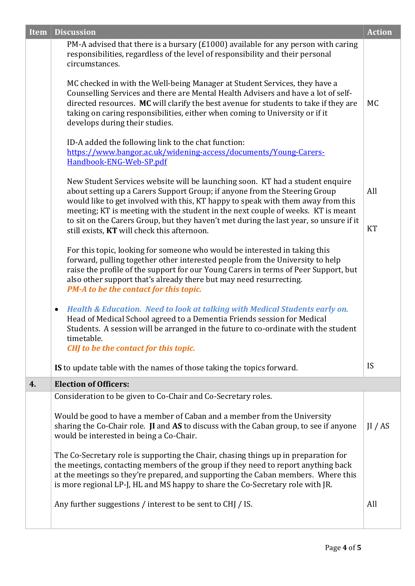| <b>Item</b> | <b>Discussion</b>                                                                                                                                                                                                                                                                                                                                                         | <b>Action</b> |
|-------------|---------------------------------------------------------------------------------------------------------------------------------------------------------------------------------------------------------------------------------------------------------------------------------------------------------------------------------------------------------------------------|---------------|
|             | PM-A advised that there is a bursary ( $£1000$ ) available for any person with caring<br>responsibilities, regardless of the level of responsibility and their personal<br>circumstances.                                                                                                                                                                                 |               |
|             | MC checked in with the Well-being Manager at Student Services, they have a<br>Counselling Services and there are Mental Health Advisers and have a lot of self-<br>directed resources. MC will clarify the best avenue for students to take if they are<br>taking on caring responsibilities, either when coming to University or if it<br>develops during their studies. | <b>MC</b>     |
|             | ID-A added the following link to the chat function:<br>https://www.bangor.ac.uk/widening-access/documents/Young-Carers-<br>Handbook-ENG-Web-SP.pdf                                                                                                                                                                                                                        |               |
|             | New Student Services website will be launching soon. KT had a student enquire<br>about setting up a Carers Support Group; if anyone from the Steering Group<br>would like to get involved with this, KT happy to speak with them away from this                                                                                                                           | All           |
|             | meeting; KT is meeting with the student in the next couple of weeks. KT is meant<br>to sit on the Carers Group, but they haven't met during the last year, so unsure if it<br>still exists, KT will check this afternoon.                                                                                                                                                 | KT            |
|             | For this topic, looking for someone who would be interested in taking this<br>forward, pulling together other interested people from the University to help<br>raise the profile of the support for our Young Carers in terms of Peer Support, but<br>also other support that's already there but may need resurrecting.<br>PM-A to be the contact for this topic.        |               |
|             | Health & Education. Need to look at talking with Medical Students early on.<br>$\bullet$<br>Head of Medical School agreed to a Dementia Friends session for Medical<br>Students. A session will be arranged in the future to co-ordinate with the student<br>timetable.<br>CHJ to be the contact for this topic.                                                          |               |
|             | IS to update table with the names of those taking the topics forward.                                                                                                                                                                                                                                                                                                     | <b>IS</b>     |
| 4.          | <b>Election of Officers:</b>                                                                                                                                                                                                                                                                                                                                              |               |
|             | Consideration to be given to Co-Chair and Co-Secretary roles.                                                                                                                                                                                                                                                                                                             |               |
|             | Would be good to have a member of Caban and a member from the University<br>sharing the Co-Chair role. JI and AS to discuss with the Caban group, to see if anyone<br>would be interested in being a Co-Chair.                                                                                                                                                            | II / AS       |
|             | The Co-Secretary role is supporting the Chair, chasing things up in preparation for<br>the meetings, contacting members of the group if they need to report anything back<br>at the meetings so they're prepared, and supporting the Caban members. Where this<br>is more regional LP-J, HL and MS happy to share the Co-Secretary role with JR.                          |               |
|             | Any further suggestions / interest to be sent to CHJ / IS.                                                                                                                                                                                                                                                                                                                | All           |